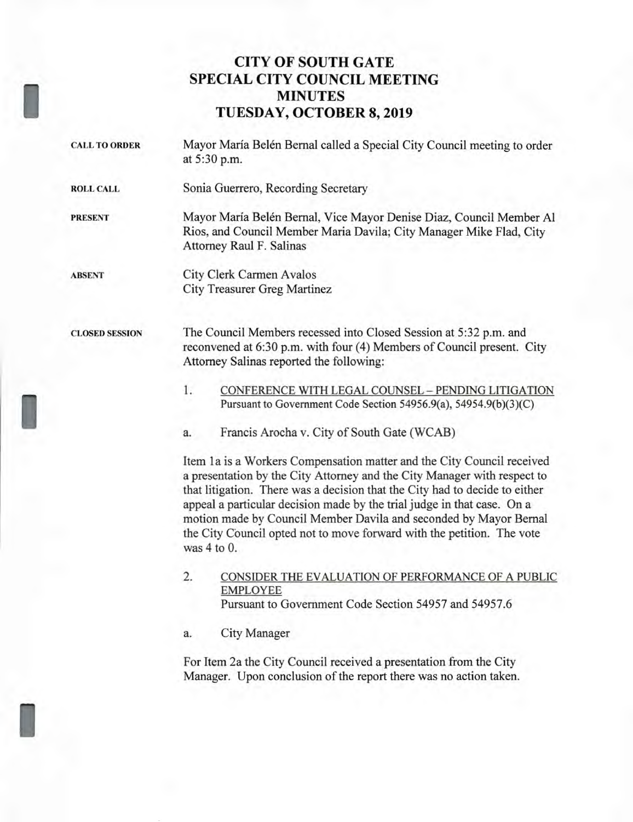## **CITY OF SOUTH GATE SPECIAL CITY COUNCIL MEETING MINUTES TUESDAY, OCTOBER 8, 2019**

- **CALL TO ORDER** Mayor Maria Belen Bernal called a Special City Council meeting to order at 5:30 p.m. **ROLL CALL** Sonia Guerrero, Recording Secretary **PRESENT** Mayor María Belén Bernal, Vice Mayor Denise Diaz, Council Member Al Rios, and Council Member Maria Davila; City Manager Mike Flad, City Attorney Raul F. Salinas **ABSENT** City Clerk Carmen Avalos City Treasurer Greg Martinez **CLOSED SESSION** The Council Members recessed into Closed Session at 5:32 p.m. and reconvened at 6:30 p.m. with four (4) Members of Council present. City Attorney Salinas reported the following:
	- 1. CONFERENCE WITH LEGAL COUNSEL PENDING LITIGATION Pursuant to Government Code Section 54956.9(a), 54954.9(b)(3)(C)

a. Francis Arocha v. City of South Gate (WCAB)

Item la is a Workers Compensation matter and the City Council received a presentation by the City Attorney and the City Manager with respect to that litigation. There was a decision that the City had to decide to either appeal a particular decision made by the trial judge in that case. On a motion made by Council Member Davila and seconded by Mayor Bernal the City Council opted not to move forward with the petition. The vote was 4 to 0.

2. CONSIDER THE EVALUATION OF PERFORMANCE OF A PUBLIC EMPLOYEE Pursuant to Government Code Section 54957 and 54957.6

a. City Manager

For Item 2a the City Council received a presentation from the City Manager. Upon conclusion of the report there was no action taken.